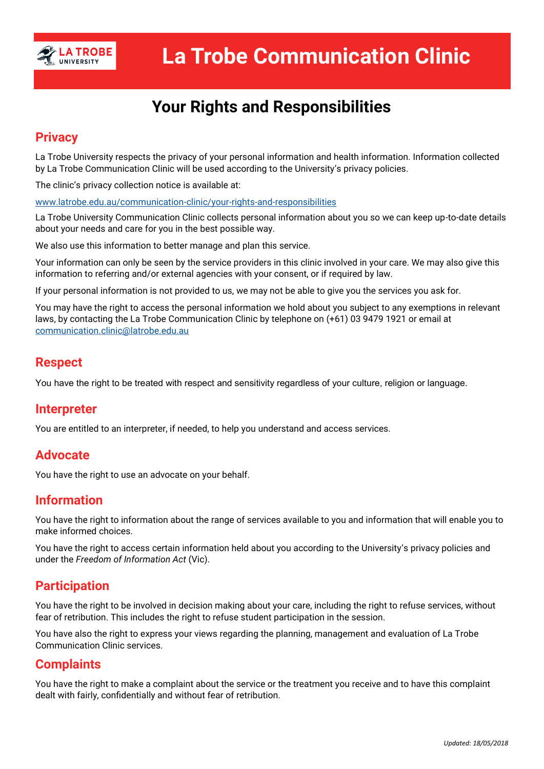

# **Your Rights and Responsibilities**

## **Privacy**

La Trobe University respects the privacy of your personal information and health information. Information collected by La Trobe Communication Clinic will be used according to the University's privacy policies.

The clinic's privacy collection notice is available at:

www.latrobe.edu.au/communication-clinic/your-rights-and-responsibilities

La Trobe University Communication Clinic collects personal information about you so we can keep up-to-date details about your needs and care for you in the best possible way.

We also use this information to better manage and plan this service.

Your information can only be seen by the service providers in this clinic involved in your care. We may also give this information to referring and/or external agencies with your consent, or if required by law.

If your personal information is not provided to us, we may not be able to give you the services you ask for.

You may have the right to access the personal information we hold about you subject to any exemptions in relevant laws, by contacting the La Trobe Communication Clinic by telephone on (+61) 03 9479 1921 or email at communication.clinic@latrobe.edu.au

## **Respect**

You have the right to be treated with respect and sensitivity regardless of your culture, religion or language.

#### **Interpreter**

You are entitled to an interpreter, if needed, to help you understand and access services.

## **Advocate**

You have the right to use an advocate on your behalf.

### **Information**

You have the right to information about the range of services available to you and information that will enable you to make informed choices.

You have the right to access certain information held about you according to the University's privacy policies and under the *Freedom of Information Act* (Vic).

### **Participation**

You have the right to be involved in decision making about your care, including the right to refuse services, without fear of retribution. This includes the right to refuse student participation in the session.

You have also the right to express your views regarding the planning, management and evaluation of La Trobe Communication Clinic services.

### **Complaints**

You have the right to make a complaint about the service or the treatment you receive and to have this complaint dealt with fairly, confidentially and without fear of retribution.